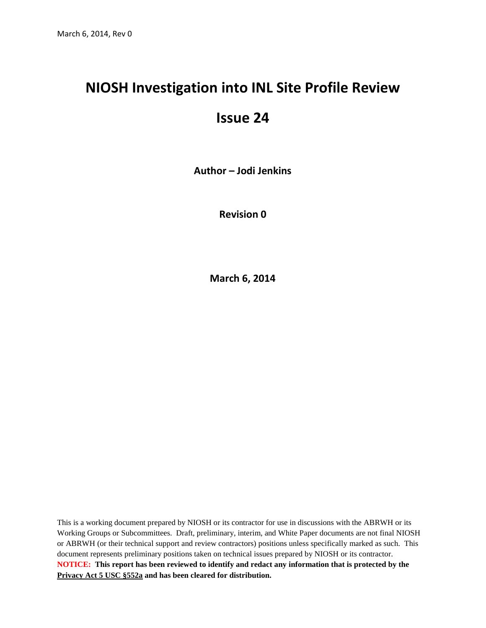## **NIOSH Investigation into INL Site Profile Review**

## **Issue 24**

**Author – Jodi Jenkins**

**Revision 0**

**March 6, 2014**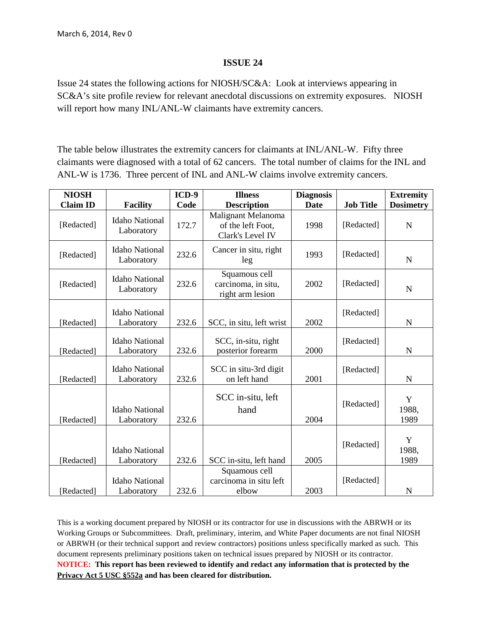## **ISSUE 24**

Issue 24 states the following actions for NIOSH/SC&A: Look at interviews appearing in SC&A's site profile review for relevant anecdotal discussions on extremity exposures. NIOSH will report how many INL/ANL-W claimants have extremity cancers.

The table below illustrates the extremity cancers for claimants at INL/ANL-W. Fifty three claimants were diagnosed with a total of 62 cancers. The total number of claims for the INL and ANL-W is 1736. Three percent of INL and ANL-W claims involve extremity cancers.

| <b>NIOSH</b>    |                                     | $ICD-9$ | <b>Illness</b>                                              | <b>Diagnosis</b> |                  | <b>Extremity</b>   |
|-----------------|-------------------------------------|---------|-------------------------------------------------------------|------------------|------------------|--------------------|
| <b>Claim ID</b> | <b>Facility</b>                     | Code    | <b>Description</b>                                          | Date             | <b>Job Title</b> | <b>Dosimetry</b>   |
| [Redacted]      | <b>Idaho National</b><br>Laboratory | 172.7   | Malignant Melanoma<br>of the left Foot,<br>Clark's Level IV | 1998             | [Redacted]       | $\mathbf N$        |
| [Redacted]      | <b>Idaho National</b><br>Laboratory | 232.6   | Cancer in situ, right<br>leg                                | 1993             | [Redacted]       | $\mathbf N$        |
| [Redacted]      | <b>Idaho National</b><br>Laboratory | 232.6   | Squamous cell<br>carcinoma, in situ,<br>right arm lesion    | 2002             | [Redacted]       | $\mathbf N$        |
| [Redacted]      | <b>Idaho National</b><br>Laboratory | 232.6   | SCC, in situ, left wrist                                    | 2002             | [Redacted]       | $\mathbf N$        |
| [Redacted]      | <b>Idaho National</b><br>Laboratory | 232.6   | SCC, in-situ, right<br>posterior forearm                    | 2000             | [Redacted]       | $\mathbf N$        |
| [Redacted]      | <b>Idaho National</b><br>Laboratory | 232.6   | SCC in situ-3rd digit<br>on left hand                       | 2001             | [Redacted]       | $\mathbf N$        |
| [Redacted]      | <b>Idaho National</b><br>Laboratory | 232.6   | SCC in-situ, left<br>hand                                   | 2004             | [Redacted]       | Y<br>1988,<br>1989 |
| [Redacted]      | <b>Idaho National</b><br>Laboratory | 232.6   | SCC in-situ, left hand                                      | 2005             | [Redacted]       | Y<br>1988,<br>1989 |
| [Redacted]      | <b>Idaho National</b><br>Laboratory | 232.6   | Squamous cell<br>carcinoma in situ left<br>elbow            | 2003             | [Redacted]       | $\mathbf N$        |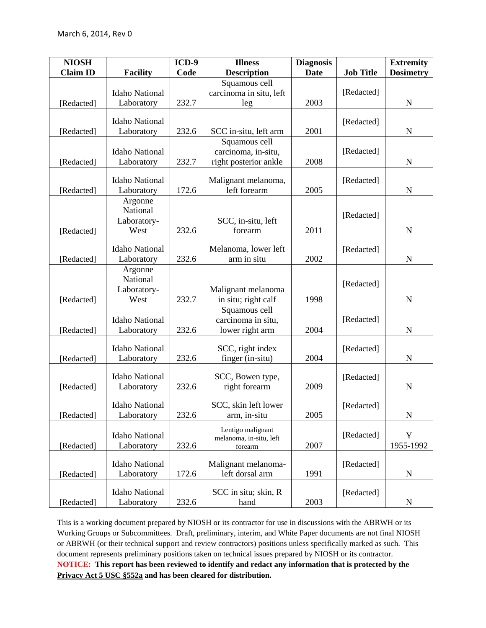| <b>NIOSH</b>    |                                     | $ICD-9$ | <b>Illness</b>          | <b>Diagnosis</b> |                  | <b>Extremity</b>         |
|-----------------|-------------------------------------|---------|-------------------------|------------------|------------------|--------------------------|
| <b>Claim ID</b> | <b>Facility</b>                     | Code    | <b>Description</b>      | <b>Date</b>      | <b>Job Title</b> | <b>Dosimetry</b>         |
|                 |                                     |         | Squamous cell           |                  |                  |                          |
|                 | <b>Idaho National</b>               |         | carcinoma in situ, left |                  | [Redacted]       |                          |
| [Redacted]      | Laboratory                          | 232.7   | leg                     | 2003             |                  | $\mathbf N$              |
|                 |                                     |         |                         |                  |                  |                          |
| [Redacted]      | <b>Idaho National</b><br>Laboratory | 232.6   | SCC in-situ, left arm   | 2001             | [Redacted]       | N                        |
|                 |                                     |         | Squamous cell           |                  |                  |                          |
|                 | <b>Idaho National</b>               |         | carcinoma, in-situ,     |                  | [Redacted]       |                          |
| [Redacted]      | Laboratory                          | 232.7   | right posterior ankle   | 2008             |                  | $\mathbf N$              |
|                 |                                     |         |                         |                  |                  |                          |
|                 | <b>Idaho National</b>               |         | Malignant melanoma,     |                  | [Redacted]       |                          |
| [Redacted]      | Laboratory                          | 172.6   | left forearm            | 2005             |                  | $\mathbf N$              |
|                 | Argonne                             |         |                         |                  |                  |                          |
|                 | National                            |         |                         |                  | [Redacted]       |                          |
|                 | Laboratory-                         |         | SCC, in-situ, left      |                  |                  |                          |
| [Redacted]      | West                                | 232.6   | forearm                 | 2011             |                  | $\mathbf N$              |
|                 | <b>Idaho National</b>               |         | Melanoma, lower left    |                  | [Redacted]       |                          |
| [Redacted]      | Laboratory                          | 232.6   | arm in situ             | 2002             |                  | $\mathbf N$              |
|                 | Argonne                             |         |                         |                  |                  |                          |
|                 | National                            |         |                         |                  |                  |                          |
|                 | Laboratory-                         |         | Malignant melanoma      |                  | [Redacted]       |                          |
| [Redacted]      | West                                | 232.7   | in situ; right calf     | 1998             |                  | N                        |
|                 |                                     |         | Squamous cell           |                  |                  |                          |
|                 | <b>Idaho National</b>               |         | carcinoma in situ,      |                  | [Redacted]       |                          |
| [Redacted]      | Laboratory                          | 232.6   | lower right arm         | 2004             |                  | ${\bf N}$                |
|                 | <b>Idaho National</b>               |         | SCC, right index        |                  |                  |                          |
| [Redacted]      | Laboratory                          | 232.6   | finger (in-situ)        | 2004             | [Redacted]       | ${\bf N}$                |
|                 |                                     |         |                         |                  |                  |                          |
|                 | <b>Idaho National</b>               |         | SCC, Bowen type,        |                  | [Redacted]       |                          |
| [Redacted]      | Laboratory                          | 232.6   | right forearm           | 2009             |                  | $\mathbf N$              |
|                 |                                     |         |                         |                  |                  |                          |
|                 | <b>Idaho National</b>               |         | SCC, skin left lower    |                  | [Redacted]       |                          |
| [Redacted]      | Laboratory                          | 232.6   | arm, in-situ            | 2005             |                  | $\mathbf N$              |
|                 |                                     |         | Lentigo malignant       |                  | [Redacted]       |                          |
| [Redacted]      | <b>Idaho National</b><br>Laboratory | 232.6   | melanoma, in-situ, left | 2007             |                  | $\mathbf Y$<br>1955-1992 |
|                 |                                     |         | forearm                 |                  |                  |                          |
|                 | <b>Idaho National</b>               |         | Malignant melanoma-     |                  | [Redacted]       |                          |
| [Redacted]      | Laboratory                          | 172.6   | left dorsal arm         | 1991             |                  | N                        |
|                 |                                     |         |                         |                  |                  |                          |
|                 | <b>Idaho National</b>               |         | SCC in situ; skin, R    |                  | [Redacted]       |                          |
| [Redacted]      | Laboratory                          | 232.6   | hand                    | 2003             |                  | ${\bf N}$                |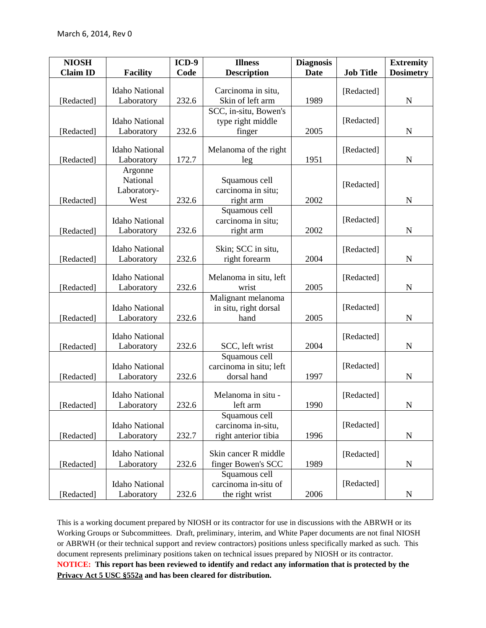| <b>NIOSH</b>    |                       | $ICD-9$ | <b>Illness</b>          | <b>Diagnosis</b> |                  | <b>Extremity</b> |
|-----------------|-----------------------|---------|-------------------------|------------------|------------------|------------------|
| <b>Claim ID</b> | <b>Facility</b>       | Code    | <b>Description</b>      | <b>Date</b>      | <b>Job Title</b> | <b>Dosimetry</b> |
|                 | <b>Idaho National</b> |         | Carcinoma in situ,      |                  | [Redacted]       |                  |
| [Redacted]      | Laboratory            | 232.6   | Skin of left arm        | 1989             |                  | $\mathbf N$      |
|                 |                       |         | SCC, in-situ, Bowen's   |                  |                  |                  |
|                 | <b>Idaho National</b> |         | type right middle       |                  | [Redacted]       |                  |
| [Redacted]      | Laboratory            | 232.6   | finger                  | 2005             |                  | N                |
|                 |                       |         |                         |                  |                  |                  |
|                 | <b>Idaho National</b> |         | Melanoma of the right   |                  | [Redacted]       |                  |
| [Redacted]      | Laboratory            | 172.7   | leg                     | 1951             |                  | $\mathbf N$      |
|                 | Argonne               |         |                         |                  |                  |                  |
|                 | National              |         | Squamous cell           |                  | [Redacted]       |                  |
|                 | Laboratory-           |         | carcinoma in situ;      |                  |                  |                  |
| [Redacted]      | West                  | 232.6   | right arm               | 2002             |                  | $\mathbf N$      |
|                 |                       |         | Squamous cell           |                  |                  |                  |
|                 | <b>Idaho National</b> |         | carcinoma in situ;      |                  | [Redacted]       |                  |
| [Redacted]      | Laboratory            | 232.6   | right arm               | 2002             |                  | N                |
|                 | <b>Idaho National</b> |         | Skin; SCC in situ,      |                  |                  |                  |
| [Redacted]      | Laboratory            | 232.6   | right forearm           | 2004             | [Redacted]       | $\mathbf N$      |
|                 |                       |         |                         |                  |                  |                  |
|                 | <b>Idaho National</b> |         | Melanoma in situ, left  |                  | [Redacted]       |                  |
| [Redacted]      | Laboratory            | 232.6   | wrist                   | 2005             |                  | $\mathbf N$      |
|                 |                       |         | Malignant melanoma      |                  |                  |                  |
|                 | <b>Idaho National</b> |         | in situ, right dorsal   |                  | [Redacted]       |                  |
| [Redacted]      | Laboratory            | 232.6   | hand                    | 2005             |                  | N                |
|                 |                       |         |                         |                  |                  |                  |
|                 | <b>Idaho National</b> |         |                         |                  | [Redacted]       |                  |
| [Redacted]      | Laboratory            | 232.6   | SCC, left wrist         | 2004             |                  | $\mathbf N$      |
|                 |                       |         | Squamous cell           |                  |                  |                  |
|                 | <b>Idaho National</b> |         | carcinoma in situ; left |                  | [Redacted]       |                  |
| [Redacted]      | Laboratory            | 232.6   | dorsal hand             | 1997             |                  | ${\bf N}$        |
|                 |                       |         |                         |                  |                  |                  |
|                 | <b>Idaho National</b> |         | Melanoma in situ -      |                  | [Redacted]       |                  |
| [Redacted]      | Laboratory            | 232.6   | left arm                | 1990             |                  | $\mathbf N$      |
|                 |                       |         | Squamous cell           |                  |                  |                  |
|                 | <b>Idaho National</b> |         | carcinoma in-situ,      |                  | [Redacted]       |                  |
| [Redacted]      | Laboratory            | 232.7   | right anterior tibia    | 1996             |                  | $\mathbf N$      |
|                 | <b>Idaho National</b> |         | Skin cancer R middle    |                  | [Redacted]       |                  |
| [Redacted]      | Laboratory            | 232.6   | finger Bowen's SCC      | 1989             |                  |                  |
|                 |                       |         | Squamous cell           |                  |                  | $\mathbf N$      |
|                 | <b>Idaho National</b> |         | carcinoma in-situ of    |                  | [Redacted]       |                  |
| [Redacted]      | Laboratory            | 232.6   | the right wrist         | 2006             |                  | N                |
|                 |                       |         |                         |                  |                  |                  |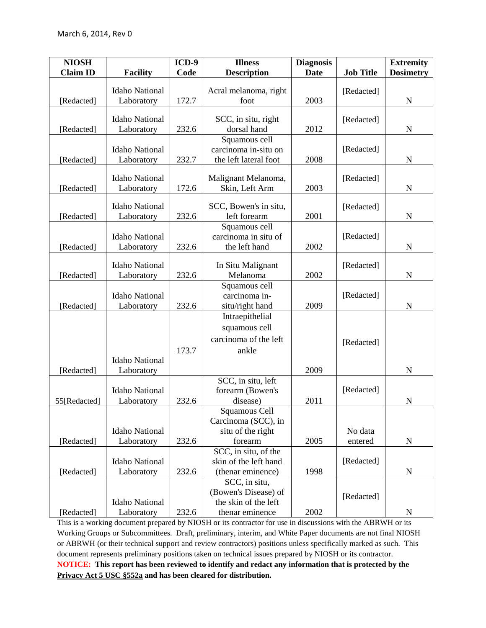| <b>NIOSH</b>    |                       | $ICD-9$ | <b>Illness</b>                                | <b>Diagnosis</b> |                  | <b>Extremity</b> |
|-----------------|-----------------------|---------|-----------------------------------------------|------------------|------------------|------------------|
| <b>Claim ID</b> | <b>Facility</b>       | Code    | <b>Description</b>                            | <b>Date</b>      | <b>Job Title</b> | <b>Dosimetry</b> |
|                 |                       |         |                                               |                  |                  |                  |
|                 | <b>Idaho National</b> |         | Acral melanoma, right                         |                  | [Redacted]       |                  |
| [Redacted]      | Laboratory            | 172.7   | foot                                          | 2003             |                  | $\mathbf N$      |
|                 | <b>Idaho National</b> |         | SCC, in situ, right                           |                  | [Redacted]       |                  |
| [Redacted]      | Laboratory            | 232.6   | dorsal hand                                   | 2012             |                  | $\mathbf N$      |
|                 |                       |         | Squamous cell                                 |                  |                  |                  |
|                 | <b>Idaho National</b> |         | carcinoma in-situ on                          |                  | [Redacted]       |                  |
| [Redacted]      | Laboratory            | 232.7   | the left lateral foot                         | 2008             |                  | $\mathbf N$      |
|                 |                       |         |                                               |                  |                  |                  |
|                 | <b>Idaho National</b> |         | Malignant Melanoma,                           |                  | [Redacted]       |                  |
| [Redacted]      | Laboratory            | 172.6   | Skin, Left Arm                                | 2003             |                  | $\mathbf N$      |
|                 | <b>Idaho National</b> |         |                                               |                  |                  |                  |
| [Redacted]      | Laboratory            | 232.6   | SCC, Bowen's in situ,<br>left forearm         | 2001             | [Redacted]       | N                |
|                 |                       |         | Squamous cell                                 |                  |                  |                  |
|                 | <b>Idaho National</b> |         | carcinoma in situ of                          |                  | [Redacted]       |                  |
| [Redacted]      | Laboratory            | 232.6   | the left hand                                 | 2002             |                  | $\mathbf N$      |
|                 |                       |         |                                               |                  |                  |                  |
|                 | <b>Idaho National</b> |         | In Situ Malignant                             |                  | [Redacted]       |                  |
| [Redacted]      | Laboratory            | 232.6   | Melanoma                                      | 2002             |                  | $\mathbf N$      |
|                 |                       |         | Squamous cell                                 |                  |                  |                  |
|                 | <b>Idaho National</b> |         | carcinoma in-                                 |                  | [Redacted]       |                  |
| [Redacted]      | Laboratory            | 232.6   | situ/right hand                               | 2009             |                  | $\mathbf N$      |
|                 |                       |         | Intraepithelial                               |                  |                  |                  |
|                 |                       |         | squamous cell                                 |                  |                  |                  |
|                 |                       |         | carcinoma of the left                         |                  | [Redacted]       |                  |
|                 |                       | 173.7   | ankle                                         |                  |                  |                  |
|                 | <b>Idaho National</b> |         |                                               |                  |                  |                  |
| [Redacted]      | Laboratory            |         |                                               | 2009             |                  | $\mathbf N$      |
|                 |                       |         | SCC, in situ, left                            |                  |                  |                  |
|                 | <b>Idaho National</b> |         | forearm (Bowen's                              |                  | [Redacted]       |                  |
| 55[Redacted]    | Laboratory            | 232.6   | disease)                                      | 2011             |                  | ${\bf N}$        |
|                 |                       |         | Squamous Cell                                 |                  |                  |                  |
|                 |                       |         | Carcinoma (SCC), in                           |                  |                  |                  |
|                 | <b>Idaho National</b> |         | situ of the right                             |                  | No data          |                  |
| [Redacted]      | Laboratory            | 232.6   | forearm                                       | 2005             | entered          | $\mathbf N$      |
|                 | <b>Idaho National</b> |         | SCC, in situ, of the<br>skin of the left hand |                  | [Redacted]       |                  |
| [Redacted]      | Laboratory            | 232.6   | (thenar eminence)                             | 1998             |                  | ${\bf N}$        |
|                 |                       |         | SCC, in situ,                                 |                  |                  |                  |
|                 |                       |         | (Bowen's Disease) of                          |                  |                  |                  |
|                 | <b>Idaho National</b> |         | the skin of the left                          |                  | [Redacted]       |                  |
| [Redacted]      | Laboratory            | 232.6   | thenar eminence                               | 2002             |                  | N                |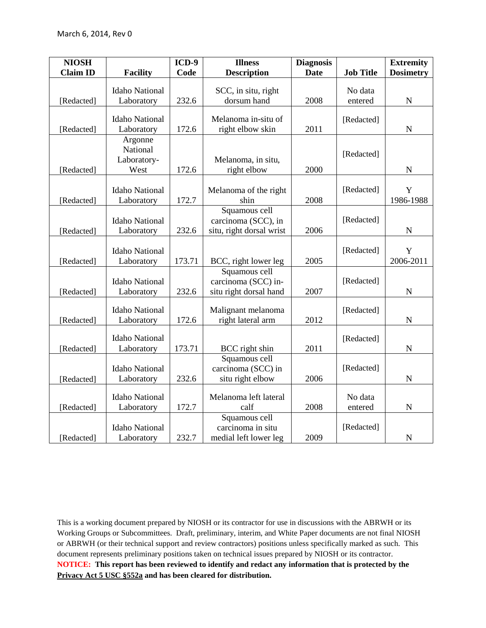| <b>NIOSH</b>    |                       | $ICD-9$ | <b>Illness</b>           | <b>Diagnosis</b> |                  | <b>Extremity</b> |
|-----------------|-----------------------|---------|--------------------------|------------------|------------------|------------------|
| <b>Claim ID</b> | <b>Facility</b>       | Code    | <b>Description</b>       | <b>Date</b>      | <b>Job Title</b> | <b>Dosimetry</b> |
|                 | <b>Idaho National</b> |         | SCC, in situ, right      |                  | No data          |                  |
| [Redacted]      | Laboratory            | 232.6   | dorsum hand              | 2008             | entered          | ${\bf N}$        |
|                 |                       |         |                          |                  |                  |                  |
|                 | <b>Idaho National</b> |         | Melanoma in-situ of      |                  | [Redacted]       |                  |
| [Redacted]      | Laboratory            | 172.6   | right elbow skin         | 2011             |                  | $\mathbf N$      |
|                 | Argonne               |         |                          |                  |                  |                  |
|                 | National              |         |                          |                  | [Redacted]       |                  |
|                 | Laboratory-           |         | Melanoma, in situ,       |                  |                  |                  |
| [Redacted]      | West                  | 172.6   | right elbow              | 2000             |                  | $\mathbf N$      |
|                 | <b>Idaho National</b> |         | Melanoma of the right    |                  | [Redacted]       | Y                |
| [Redacted]      | Laboratory            | 172.7   | shin                     | 2008             |                  | 1986-1988        |
|                 |                       |         | Squamous cell            |                  |                  |                  |
|                 | <b>Idaho National</b> |         | carcinoma (SCC), in      |                  | [Redacted]       |                  |
| [Redacted]      | Laboratory            | 232.6   | situ, right dorsal wrist | 2006             |                  | $\mathbf N$      |
|                 |                       |         |                          |                  |                  |                  |
|                 | <b>Idaho National</b> |         |                          |                  | [Redacted]       | $\mathbf Y$      |
| [Redacted]      | Laboratory            | 173.71  | BCC, right lower leg     | 2005             |                  | 2006-2011        |
|                 |                       |         | Squamous cell            |                  |                  |                  |
|                 | <b>Idaho National</b> |         | carcinoma (SCC) in-      |                  | [Redacted]       |                  |
| [Redacted]      | Laboratory            | 232.6   | situ right dorsal hand   | 2007             |                  | $\mathbf N$      |
|                 | <b>Idaho National</b> |         | Malignant melanoma       |                  | [Redacted]       |                  |
| [Redacted]      | Laboratory            | 172.6   | right lateral arm        | 2012             |                  | $\mathbf N$      |
|                 |                       |         |                          |                  |                  |                  |
|                 | <b>Idaho National</b> |         |                          |                  | [Redacted]       |                  |
| [Redacted]      | Laboratory            | 173.71  | BCC right shin           | 2011             |                  | ${\bf N}$        |
|                 |                       |         | Squamous cell            |                  |                  |                  |
|                 | <b>Idaho National</b> |         | carcinoma (SCC) in       |                  | [Redacted]       |                  |
| [Redacted]      | Laboratory            | 232.6   | situ right elbow         | 2006             |                  | ${\bf N}$        |
|                 | <b>Idaho National</b> |         | Melanoma left lateral    |                  | No data          |                  |
| [Redacted]      | Laboratory            | 172.7   | calf                     | 2008             | entered          | $\mathbf N$      |
|                 |                       |         | Squamous cell            |                  |                  |                  |
|                 | <b>Idaho National</b> |         | carcinoma in situ        |                  | [Redacted]       |                  |
| [Redacted]      | Laboratory            | 232.7   | medial left lower leg    | 2009             |                  | $\mathbf N$      |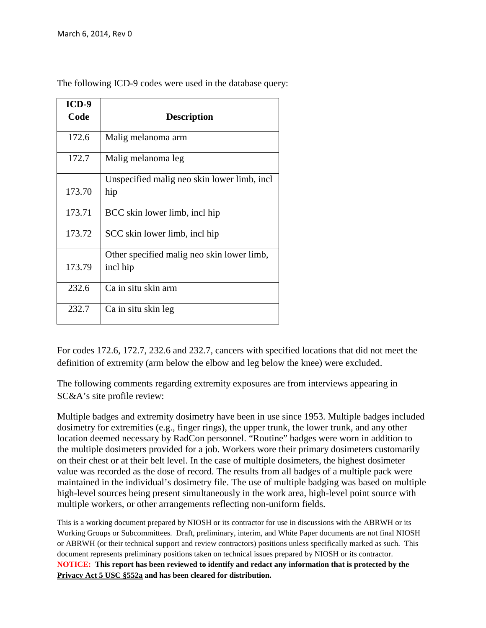| ICD-9  |                                             |
|--------|---------------------------------------------|
| Code   | <b>Description</b>                          |
| 172.6  | Malig melanoma arm                          |
| 172.7  | Malig melanoma leg                          |
|        | Unspecified malig neo skin lower limb, incl |
| 173.70 | hip                                         |
| 173.71 | BCC skin lower limb, incl hip               |
| 173.72 | SCC skin lower limb, incl hip               |
|        | Other specified malig neo skin lower limb,  |
| 173.79 | incl hip                                    |
| 232.6  | Ca in situ skin arm                         |
| 232.7  | Ca in situ skin leg                         |

The following ICD-9 codes were used in the database query:

For codes 172.6, 172.7, 232.6 and 232.7, cancers with specified locations that did not meet the definition of extremity (arm below the elbow and leg below the knee) were excluded.

The following comments regarding extremity exposures are from interviews appearing in SC&A's site profile review:

Multiple badges and extremity dosimetry have been in use since 1953. Multiple badges included dosimetry for extremities (e.g., finger rings), the upper trunk, the lower trunk, and any other location deemed necessary by RadCon personnel. "Routine" badges were worn in addition to the multiple dosimeters provided for a job. Workers wore their primary dosimeters customarily on their chest or at their belt level. In the case of multiple dosimeters, the highest dosimeter value was recorded as the dose of record. The results from all badges of a multiple pack were maintained in the individual's dosimetry file. The use of multiple badging was based on multiple high-level sources being present simultaneously in the work area, high-level point source with multiple workers, or other arrangements reflecting non-uniform fields.